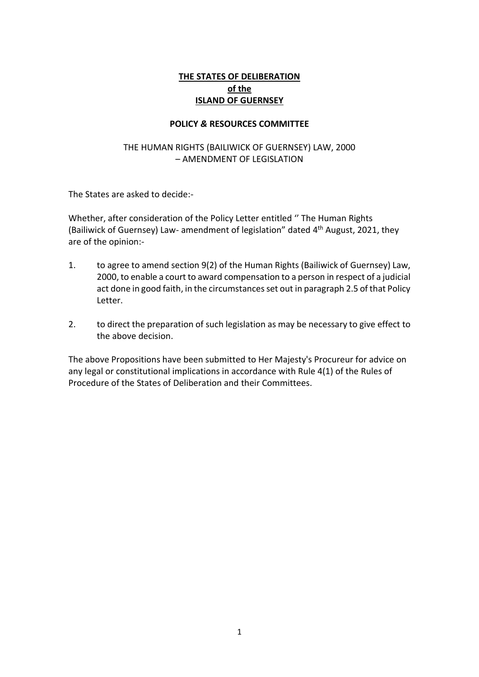# **THE STATES OF DELIBERATION of the ISLAND OF GUERNSEY**

### **POLICY** *&* **RESOURCES COMMITTEE**

### THE HUMAN RIGHTS (BAILIWICK OF GUERNSEY) LAW, 2000 – AMENDMENT OF LEGISLATION

The States are asked to decide:-

Whether, after consideration of the Policy Letter entitled '' The Human Rights (Bailiwick of Guernsey) Law- amendment of legislation" dated 4 th August, 2021, they are of the opinion:-

- 1. to agree to amend section 9(2) of the Human Rights (Bailiwick of Guernsey) Law, 2000, to enable a court to award compensation to a person in respect of a judicial act done in good faith, in the circumstances set out in paragraph 2.5 of that Policy Letter.
- 2. to direct the preparation of such legislation as may be necessary to give effect to the above decision.

The above Propositions have been submitted to Her Majesty's Procureur for advice on any legal or constitutional implications in accordance with Rule 4(1) of the Rules of Procedure of the States of Deliberation and their Committees.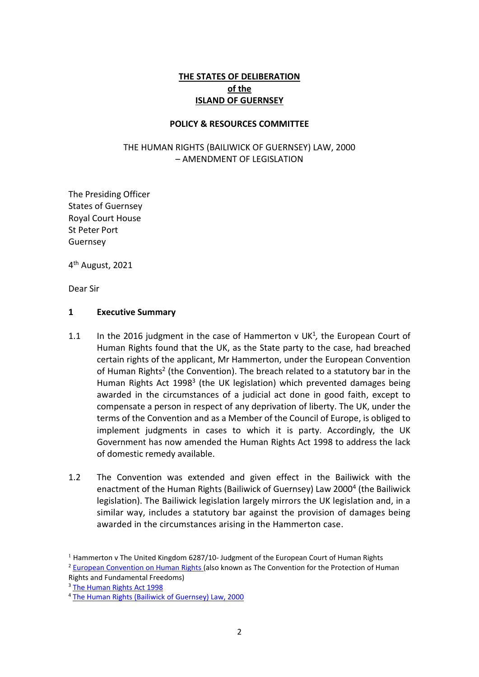# **THE STATES OF DELIBERATION of the ISLAND OF GUERNSEY**

### **POLICY & RESOURCES COMMITTEE**

### THE HUMAN RIGHTS (BAILIWICK OF GUERNSEY) LAW, 2000 – AMENDMENT OF LEGISLATION

The Presiding Officer States of Guernsey Royal Court House St Peter Port Guernsey

4<sup>th</sup> August, 2021

Dear Sir

#### **1 Executive Summary**

- 1.1 In the 2016 judgment in the case of Hammerton  $v$  UK<sup>1</sup>, the European Court of Human Rights found that the UK, as the State party to the case, had breached certain rights of the applicant, Mr Hammerton, under the European Convention of Human Rights<sup>2</sup> (the Convention). The breach related to a statutory bar in the Human Rights Act 1998<sup>3</sup> (the UK legislation) which prevented damages being awarded in the circumstances of a judicial act done in good faith, except to compensate a person in respect of any deprivation of liberty. The UK, under the terms of the Convention and as a Member of the Council of Europe, is obliged to implement judgments in cases to which it is party. Accordingly, the UK Government has now amended the Human Rights Act 1998 to address the lack of domestic remedy available.
- 1.2 The Convention was extended and given effect in the Bailiwick with the enactment of the Human Rights (Bailiwick of Guernsey) Law 2000<sup>4</sup> (the Bailiwick legislation). The Bailiwick legislation largely mirrors the UK legislation and, in a similar way, includes a statutory bar against the provision of damages being awarded in the circumstances arising in the Hammerton case.

 $1$  Hammerton v The United Kingdom 6287/10- [Judgment of the European Court of Human Rights](https://sip.lex.pl/orzeczenia-i-pisma-urzedowe/orzeczenia-sadow/6287-10-hammerton-v-wielka-brytania-wyrok-europejskiego-522096150)

<sup>&</sup>lt;sup>2</sup> [European Convention on Human Rights \(](https://www.echr.coe.int/documents/convention_eng.pdf)also known as The Convention for the Protection of Human

Rights and Fundamental Freedoms)

<sup>3</sup> [The Human Rights Act 1998](https://www.legislation.gov.uk/ukpga/1998/42/contents) 

<sup>4</sup> The [Human Rights \(Bailiwick of Guernsey\) Law, 2000](https://www.guernseylegalresources.gg/laws/guernsey-bailiwick/h/human-rights/human-rights-bailiwick-of-guernsey-law-2000-consolidated-text/)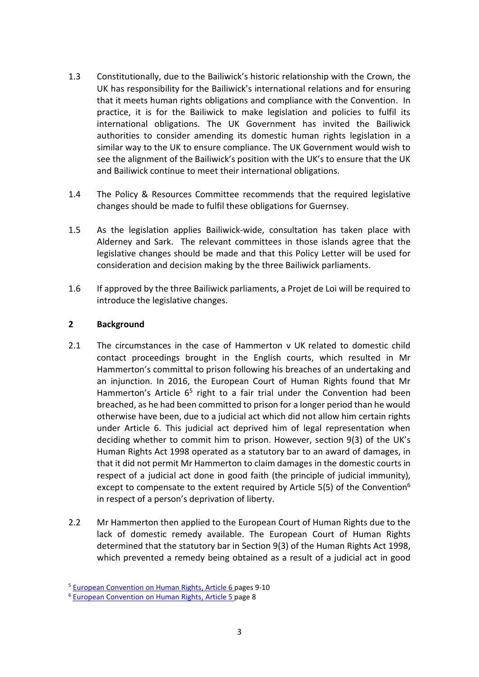- 1.3 Constitutionally, due to the Bailiwick's historic relationship with the Crown, the UK has responsibility for the Bailiwick's international relations and for ensuring that it meets human rights obligations and compliance with the Convention. In practice, it is for the Bailiwick to make legislation and policies to fulfil its international obligations. The UK Government has invited the Bailiwick authorities to consider amending its domestic human rights legislation in a similar way to the UK to ensure compliance. The UK Government would wish to see the alignment of the Bailiwick's position with the UK's to ensure that the UK and Bailiwick continue to meet their international obligations.
- 1.4 The Policy & Resources Committee recommends that the required legislative changes should be made to fulfil these obligations for Guernsey.
- 1.5 As the legislation applies Bailiwick-wide, consultation has taken place with Alderney and Sark. The relevant committees in those islands agree that the legislative changes should be made and that this Policy Letter will be used for consideration and decision making by the three Bailiwick parliaments.
- 1.6 If approved by the three Bailiwick parliaments, a Projet de Loi will be required to introduce the legislative changes.

### **2 Background**

- 2.1 The circumstances in the case of Hammerton v UK related to domestic child contact proceedings brought in the English courts, which resulted in Mr Hammerton's committal to prison following his breaches of an undertaking and an injunction. In 2016, the European Court of Human Rights found that Mr Hammerton's Article 6<sup>5</sup> right to a fair trial under the Convention had been breached, as he had been committed to prison for a longer period than he would otherwise have been, due to a judicial act which did not allow him certain rights under Article 6. This judicial act deprived him of legal representation when deciding whether to commit him to prison. However, section 9(3) of the UK's Human Rights Act 1998 operated as a statutory bar to an award of damages, in that it did not permit Mr Hammerton to claim damages in the domestic courts in respect of a judicial act done in good faith (the principle of judicial immunity), except to compensate to the extent required by Article 5(5) of the Convention<sup>6</sup> in respect of a person's deprivation of liberty.
- 2.2 Mr Hammerton then applied to the European Court of Human Rights due to the lack of domestic remedy available. The European Court of Human Rights determined that the statutory bar in Section 9(3) of the Human Rights Act 1998, which prevented a remedy being obtained as a result of a judicial act in good

<sup>&</sup>lt;sup>5</sup> [European Convention on Human Rights, Article 6](https://www.echr.coe.int/documents/convention_eng.pdf) pages 9-10

<sup>6</sup> [European Convention on Human Rights, Article 5](https://www.echr.coe.int/documents/convention_eng.pdf) page 8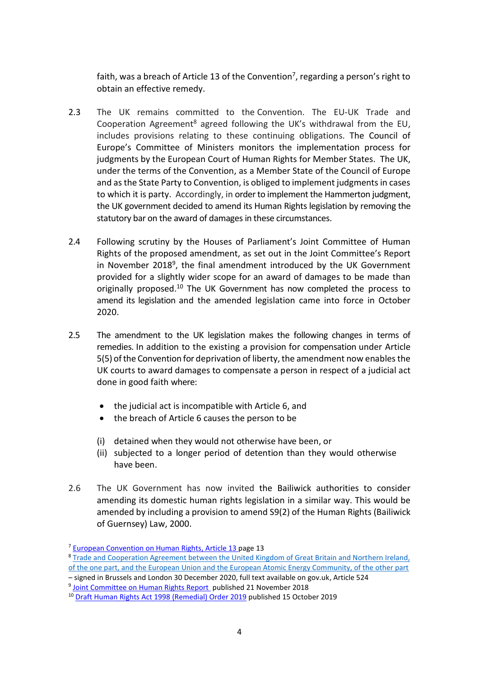faith, was a breach of Article 13 of the Convention<sup>7</sup>, regarding a person's right to obtain an effective remedy.

- 2.3 The UK remains committed to the Convention. The EU-UK Trade and Cooperation Agreement<sup>8</sup> agreed following the UK's withdrawal from the EU, includes provisions relating to these continuing obligations. The Council of Europe's Committee of Ministers monitors the implementation process for judgments by the European Court of Human Rights for Member States. The UK, under the terms of the Convention, as a Member State of the Council of Europe and asthe State Party to Convention, is obliged to implement judgments in cases to which it is party. Accordingly, in order to implement the Hammerton judgment, the UK government decided to amend its Human Rights legislation by removing the statutory bar on the award of damages in these circumstances.
- 2.4 Following scrutiny by the Houses of Parliament's Joint Committee of Human Rights of the proposed amendment, as set out in the Joint Committee's Report in November 2018<sup>9</sup>, the final amendment introduced by the UK Government provided for a slightly wider scope for an award of damages to be made than originally proposed.<sup>10</sup> The UK Government has now completed the process to amend its legislation and the amended legislation came into force in October 2020.
- 2.5 The amendment to the UK legislation makes the following changes in terms of remedies. In addition to the existing a provision for compensation under Article 5(5) of the Convention for deprivation of liberty, the amendment now enables the UK courts to award damages to compensate a person in respect of a judicial act done in good faith where:
	- the judicial act is incompatible with Article 6, and
	- the breach of Article 6 causes the person to be
	- (i) detained when they would not otherwise have been, or
	- (ii) subjected to a longer period of detention than they would otherwise have been.
- 2.6 The UK Government has now invited the Bailiwick authorities to consider amending its domestic human rights legislation in a similar way. This would be amended by including a provision to amend S9(2) of the Human Rights (Bailiwick of Guernsey) Law, 2000.

– signed in Brussels and London 30 December 2020, full text available on gov.uk, Article 524

<sup>7</sup> [European Convention on Human Rights, Article 13](https://www.echr.coe.int/documents/convention_eng.pdf) page 13

<sup>&</sup>lt;sup>8</sup> Trade and Cooperation Agreement between the United Kingdom of Great Britain and Northern Ireland, [of the one part, and the European Union and the European Atomic Energy Community, of the other part](https://assets.publishing.service.gov.uk/government/uploads/system/uploads/attachment_data/file/982648/TS_8.2021_UK_EU_EAEC_Trade_and_Cooperation_Agreement.pdf)

<sup>&</sup>lt;sup>9</sup> [Joint Committee on Human Rights Report](https://publications.parliament.uk/pa/jt201719/jtselect/jtrights/1457/1457.pdf) published 21 November 2018

<sup>&</sup>lt;sup>10</sup> [Draft Human Rights Act 1998 \(Remedial\) Order 2019](https://www.gov.uk/government/publications/draft-human-rights-act-1998-remedial-order-2019) published 15 October 2019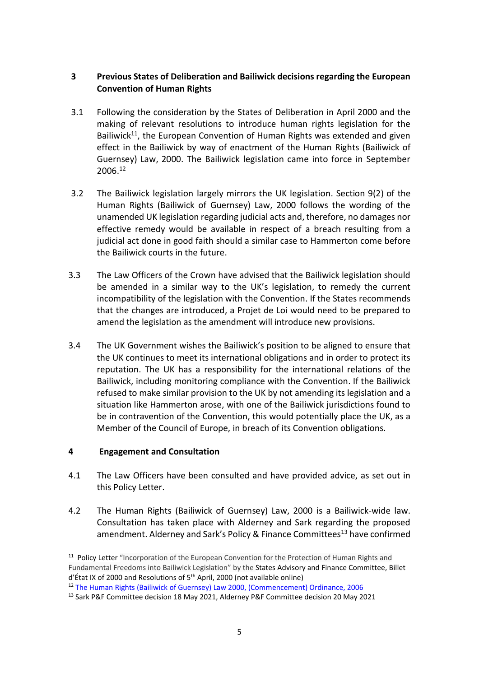## **3 Previous States of Deliberation and Bailiwick decisions regarding the European Convention of Human Rights**

- 3.1 Following the consideration by the States of Deliberation in April 2000 and the making of relevant resolutions to introduce human rights legislation for the Bailiwick<sup>11</sup>, the European Convention of Human Rights was extended and given effect in the Bailiwick by way of enactment of the Human Rights (Bailiwick of Guernsey) Law, 2000. The Bailiwick legislation came into force in September 2006. 12
- 3.2 The Bailiwick legislation largely mirrors the UK legislation. Section 9(2) of the Human Rights (Bailiwick of Guernsey) Law, 2000 follows the wording of the unamended UK legislation regarding judicial acts and, therefore, no damages nor effective remedy would be available in respect of a breach resulting from a judicial act done in good faith should a similar case to Hammerton come before the Bailiwick courts in the future.
- 3.3 The Law Officers of the Crown have advised that the Bailiwick legislation should be amended in a similar way to the UK's legislation, to remedy the current incompatibility of the legislation with the Convention. If the States recommends that the changes are introduced, a Projet de Loi would need to be prepared to amend the legislation as the amendment will introduce new provisions.
- 3.4 The UK Government wishes the Bailiwick's position to be aligned to ensure that the UK continues to meet its international obligations and in order to protect its reputation. The UK has a responsibility for the international relations of the Bailiwick, including monitoring compliance with the Convention. If the Bailiwick refused to make similar provision to the UK by not amending its legislation and a situation like Hammerton arose, with one of the Bailiwick jurisdictions found to be in contravention of the Convention, this would potentially place the UK, as a Member of the Council of Europe, in breach of its Convention obligations.

## **4 Engagement and Consultation**

- 4.1 The Law Officers have been consulted and have provided advice, as set out in this Policy Letter.
- 4.2 The Human Rights (Bailiwick of Guernsey) Law, 2000 is a Bailiwick-wide law. Consultation has taken place with Alderney and Sark regarding the proposed amendment. Alderney and Sark's Policy & Finance Committees<sup>13</sup> have confirmed

<sup>&</sup>lt;sup>11</sup> Policy Letter "Incorporation of the European Convention for the Protection of Human Rights and Fundamental Freedoms into Bailiwick Legislation" by the States Advisory and Finance Committee, [Billet](https://gov.gg/CHttpHandler.ashx?id=3553&p=0)   $d'$ État IX of 2000 and Resolutions of 5<sup>th</sup> April, 2000 (not available online)

<sup>&</sup>lt;sup>12</sup> The Human Rights (Bailiwick of Guernsey) Law 2000, (Commencement) Ordinance, 2006

<sup>&</sup>lt;sup>13</sup> Sark P&F Committee decision 18 May 2021, Alderney P&F Committee decision 20 May 2021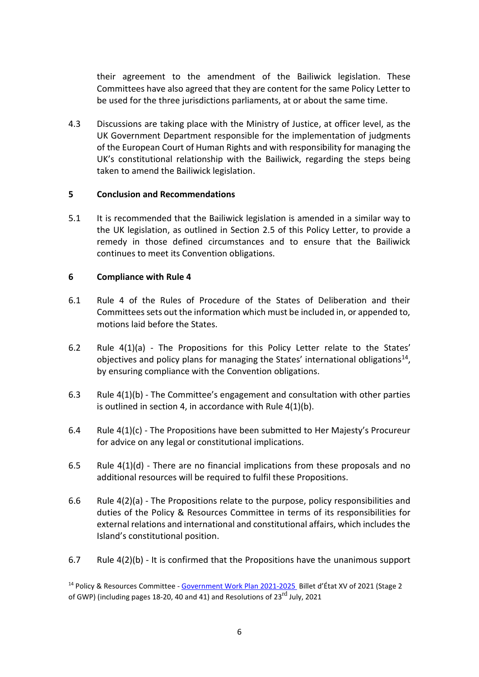their agreement to the amendment of the Bailiwick legislation. These Committees have also agreed that they are content for the same Policy Letter to be used for the three jurisdictions parliaments, at or about the same time.

4.3 Discussions are taking place with the Ministry of Justice, at officer level, as the UK Government Department responsible for the implementation of judgments of the European Court of Human Rights and with responsibility for managing the UK's constitutional relationship with the Bailiwick, regarding the steps being taken to amend the Bailiwick legislation.

### **5 Conclusion and Recommendations**

5.1 It is recommended that the Bailiwick legislation is amended in a similar way to the UK legislation, as outlined in Section 2.5 of this Policy Letter, to provide a remedy in those defined circumstances and to ensure that the Bailiwick continues to meet its Convention obligations.

### **6 Compliance with Rule 4**

- 6.1 Rule 4 of the Rules of Procedure of the States of Deliberation and their Committees sets out the information which must be included in, or appended to, motions laid before the States.
- 6.2 Rule 4(1)(a) The Propositions for this Policy Letter relate to the States' objectives and policy plans for managing the States' international obligations<sup>14</sup>, by ensuring compliance with the Convention obligations.
- 6.3 Rule 4(1)(b) The Committee's engagement and consultation with other parties is outlined in section 4, in accordance with Rule 4(1)(b).
- 6.4 Rule 4(1)(c) The Propositions have been submitted to Her Majesty's Procureur for advice on any legal or constitutional implications.
- 6.5 Rule 4(1)(d) There are no financial implications from these proposals and no additional resources will be required to fulfil these Propositions.
- 6.6 Rule 4(2)(a) The Propositions relate to the purpose, policy responsibilities and duties of the Policy & Resources Committee in terms of its responsibilities for external relations and international and constitutional affairs, which includes the Island's constitutional position.
- 6.7 Rule 4(2)(b) It is confirmed that the Propositions have the unanimous support

<sup>14</sup> Policy & Resources Committee - [Government Work Plan](https://www.gov.gg/CHttpHandler.ashx?id=140945&p=0) 2021-2025 Billet d'État XV of 2021 (Stage 2 of GWP) (including pages 18-20, 40 and 41) an[d Resolutions](https://www.gov.gg/CHttpHandler.ashx?id=142218&p=0) of  $23^{\text{rd}}$  July, 2021